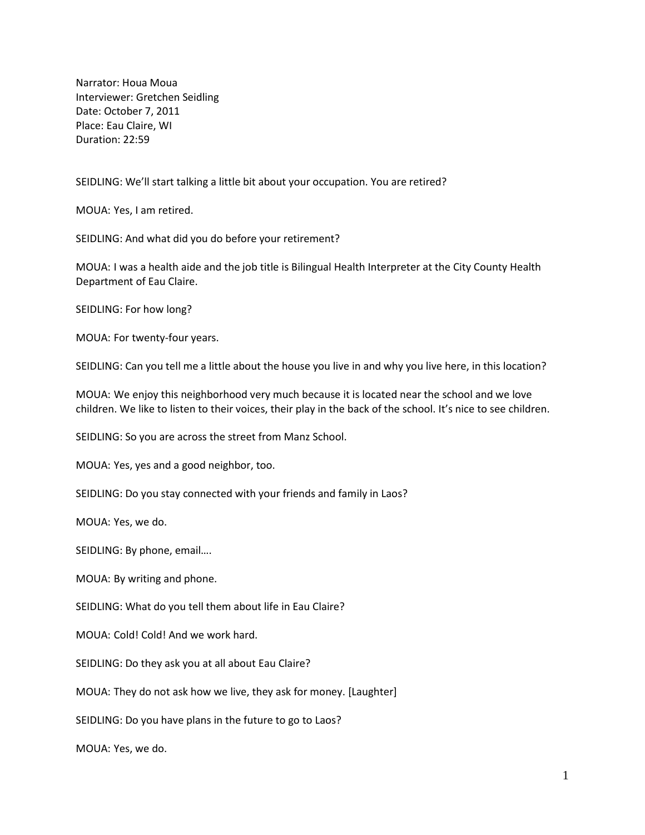Narrator: Houa Moua Interviewer: Gretchen Seidling Date: October 7, 2011 Place: Eau Claire, WI Duration: 22:59

SEIDLING: We'll start talking a little bit about your occupation. You are retired?

MOUA: Yes, I am retired.

SEIDLING: And what did you do before your retirement?

MOUA: I was a health aide and the job title is Bilingual Health Interpreter at the City County Health Department of Eau Claire.

SEIDLING: For how long?

MOUA: For twenty-four years.

SEIDLING: Can you tell me a little about the house you live in and why you live here, in this location?

MOUA: We enjoy this neighborhood very much because it is located near the school and we love children. We like to listen to their voices, their play in the back of the school. It's nice to see children.

SEIDLING: So you are across the street from Manz School.

MOUA: Yes, yes and a good neighbor, too.

SEIDLING: Do you stay connected with your friends and family in Laos?

MOUA: Yes, we do.

SEIDLING: By phone, email….

MOUA: By writing and phone.

SEIDLING: What do you tell them about life in Eau Claire?

MOUA: Cold! Cold! And we work hard.

SEIDLING: Do they ask you at all about Eau Claire?

MOUA: They do not ask how we live, they ask for money. [Laughter]

SEIDLING: Do you have plans in the future to go to Laos?

MOUA: Yes, we do.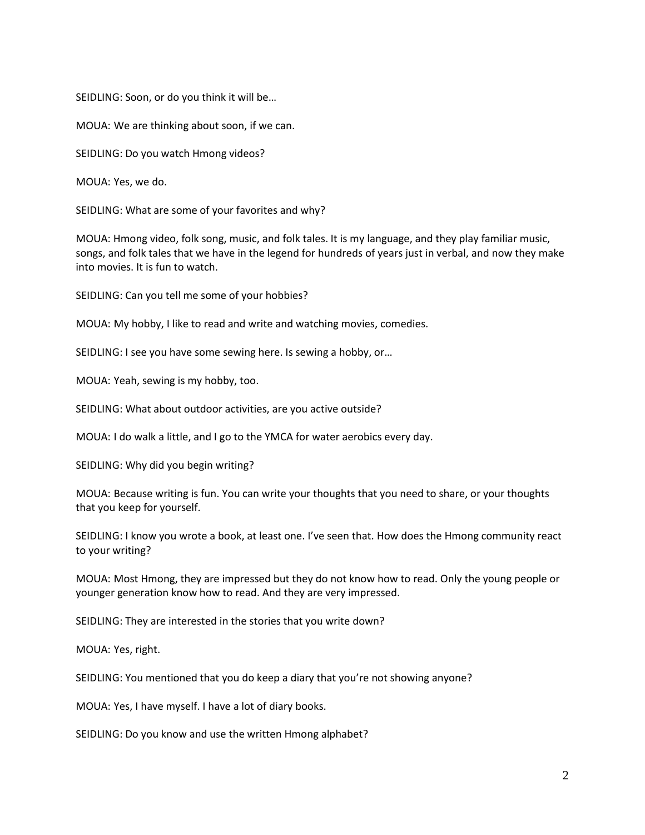SEIDLING: Soon, or do you think it will be…

MOUA: We are thinking about soon, if we can.

SEIDLING: Do you watch Hmong videos?

MOUA: Yes, we do.

SEIDLING: What are some of your favorites and why?

MOUA: Hmong video, folk song, music, and folk tales. It is my language, and they play familiar music, songs, and folk tales that we have in the legend for hundreds of years just in verbal, and now they make into movies. It is fun to watch.

SEIDLING: Can you tell me some of your hobbies?

MOUA: My hobby, I like to read and write and watching movies, comedies.

SEIDLING: I see you have some sewing here. Is sewing a hobby, or…

MOUA: Yeah, sewing is my hobby, too.

SEIDLING: What about outdoor activities, are you active outside?

MOUA: I do walk a little, and I go to the YMCA for water aerobics every day.

SEIDLING: Why did you begin writing?

MOUA: Because writing is fun. You can write your thoughts that you need to share, or your thoughts that you keep for yourself.

SEIDLING: I know you wrote a book, at least one. I've seen that. How does the Hmong community react to your writing?

MOUA: Most Hmong, they are impressed but they do not know how to read. Only the young people or younger generation know how to read. And they are very impressed.

SEIDLING: They are interested in the stories that you write down?

MOUA: Yes, right.

SEIDLING: You mentioned that you do keep a diary that you're not showing anyone?

MOUA: Yes, I have myself. I have a lot of diary books.

SEIDLING: Do you know and use the written Hmong alphabet?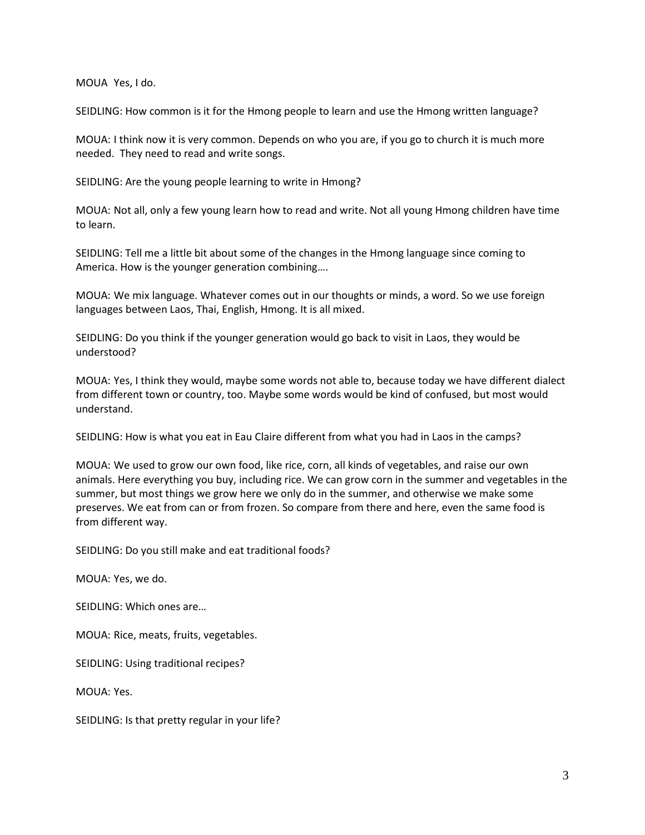MOUA Yes, I do.

SEIDLING: How common is it for the Hmong people to learn and use the Hmong written language?

MOUA: I think now it is very common. Depends on who you are, if you go to church it is much more needed. They need to read and write songs.

SEIDLING: Are the young people learning to write in Hmong?

MOUA: Not all, only a few young learn how to read and write. Not all young Hmong children have time to learn.

SEIDLING: Tell me a little bit about some of the changes in the Hmong language since coming to America. How is the younger generation combining….

MOUA: We mix language. Whatever comes out in our thoughts or minds, a word. So we use foreign languages between Laos, Thai, English, Hmong. It is all mixed.

SEIDLING: Do you think if the younger generation would go back to visit in Laos, they would be understood?

MOUA: Yes, I think they would, maybe some words not able to, because today we have different dialect from different town or country, too. Maybe some words would be kind of confused, but most would understand.

SEIDLING: How is what you eat in Eau Claire different from what you had in Laos in the camps?

MOUA: We used to grow our own food, like rice, corn, all kinds of vegetables, and raise our own animals. Here everything you buy, including rice. We can grow corn in the summer and vegetables in the summer, but most things we grow here we only do in the summer, and otherwise we make some preserves. We eat from can or from frozen. So compare from there and here, even the same food is from different way.

SEIDLING: Do you still make and eat traditional foods?

MOUA: Yes, we do.

SEIDLING: Which ones are…

MOUA: Rice, meats, fruits, vegetables.

SEIDLING: Using traditional recipes?

MOUA: Yes.

SEIDLING: Is that pretty regular in your life?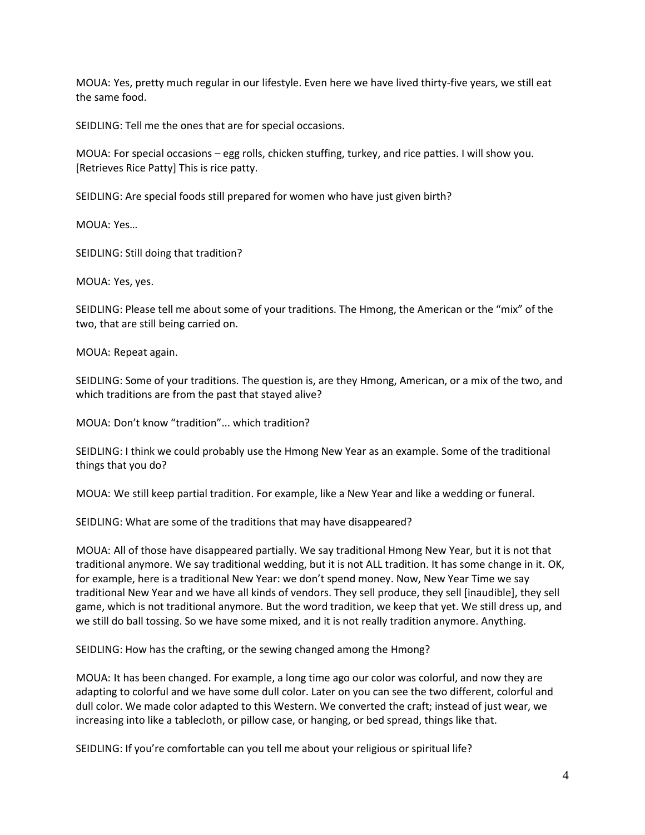MOUA: Yes, pretty much regular in our lifestyle. Even here we have lived thirty-five years, we still eat the same food.

SEIDLING: Tell me the ones that are for special occasions.

MOUA: For special occasions – egg rolls, chicken stuffing, turkey, and rice patties. I will show you. [Retrieves Rice Patty] This is rice patty.

SEIDLING: Are special foods still prepared for women who have just given birth?

MOUA: Yes…

SEIDLING: Still doing that tradition?

MOUA: Yes, yes.

SEIDLING: Please tell me about some of your traditions. The Hmong, the American or the "mix" of the two, that are still being carried on.

MOUA: Repeat again.

SEIDLING: Some of your traditions. The question is, are they Hmong, American, or a mix of the two, and which traditions are from the past that stayed alive?

MOUA: Don't know "tradition"... which tradition?

SEIDLING: I think we could probably use the Hmong New Year as an example. Some of the traditional things that you do?

MOUA: We still keep partial tradition. For example, like a New Year and like a wedding or funeral.

SEIDLING: What are some of the traditions that may have disappeared?

MOUA: All of those have disappeared partially. We say traditional Hmong New Year, but it is not that traditional anymore. We say traditional wedding, but it is not ALL tradition. It has some change in it. OK, for example, here is a traditional New Year: we don't spend money. Now, New Year Time we say traditional New Year and we have all kinds of vendors. They sell produce, they sell [inaudible], they sell game, which is not traditional anymore. But the word tradition, we keep that yet. We still dress up, and we still do ball tossing. So we have some mixed, and it is not really tradition anymore. Anything.

SEIDLING: How has the crafting, or the sewing changed among the Hmong?

MOUA: It has been changed. For example, a long time ago our color was colorful, and now they are adapting to colorful and we have some dull color. Later on you can see the two different, colorful and dull color. We made color adapted to this Western. We converted the craft; instead of just wear, we increasing into like a tablecloth, or pillow case, or hanging, or bed spread, things like that.

SEIDLING: If you're comfortable can you tell me about your religious or spiritual life?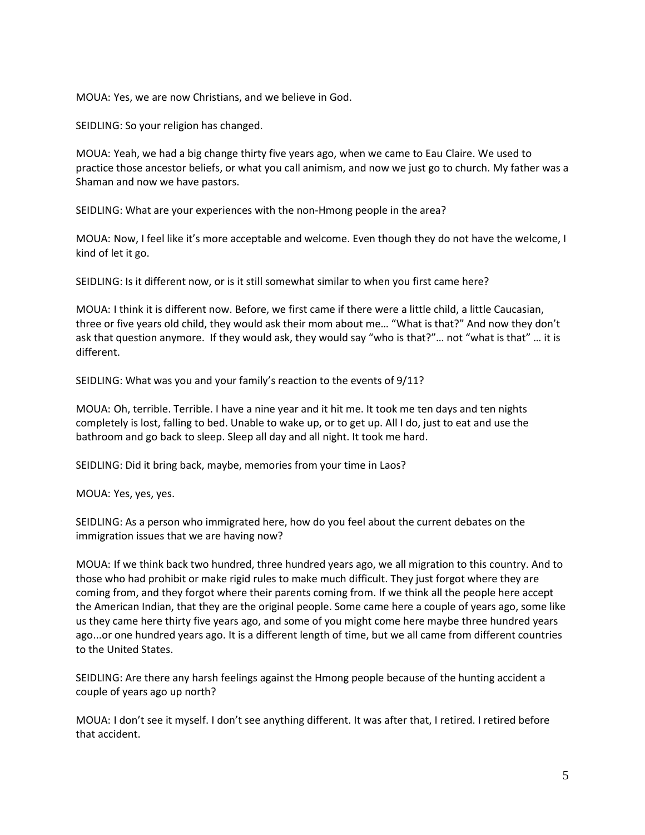MOUA: Yes, we are now Christians, and we believe in God.

SEIDLING: So your religion has changed.

MOUA: Yeah, we had a big change thirty five years ago, when we came to Eau Claire. We used to practice those ancestor beliefs, or what you call animism, and now we just go to church. My father was a Shaman and now we have pastors.

SEIDLING: What are your experiences with the non-Hmong people in the area?

MOUA: Now, I feel like it's more acceptable and welcome. Even though they do not have the welcome, I kind of let it go.

SEIDLING: Is it different now, or is it still somewhat similar to when you first came here?

MOUA: I think it is different now. Before, we first came if there were a little child, a little Caucasian, three or five years old child, they would ask their mom about me… "What is that?" And now they don't ask that question anymore. If they would ask, they would say "who is that?"… not "what is that" … it is different.

SEIDLING: What was you and your family's reaction to the events of 9/11?

MOUA: Oh, terrible. Terrible. I have a nine year and it hit me. It took me ten days and ten nights completely is lost, falling to bed. Unable to wake up, or to get up. All I do, just to eat and use the bathroom and go back to sleep. Sleep all day and all night. It took me hard.

SEIDLING: Did it bring back, maybe, memories from your time in Laos?

MOUA: Yes, yes, yes.

SEIDLING: As a person who immigrated here, how do you feel about the current debates on the immigration issues that we are having now?

MOUA: If we think back two hundred, three hundred years ago, we all migration to this country. And to those who had prohibit or make rigid rules to make much difficult. They just forgot where they are coming from, and they forgot where their parents coming from. If we think all the people here accept the American Indian, that they are the original people. Some came here a couple of years ago, some like us they came here thirty five years ago, and some of you might come here maybe three hundred years ago...or one hundred years ago. It is a different length of time, but we all came from different countries to the United States.

SEIDLING: Are there any harsh feelings against the Hmong people because of the hunting accident a couple of years ago up north?

MOUA: I don't see it myself. I don't see anything different. It was after that, I retired. I retired before that accident.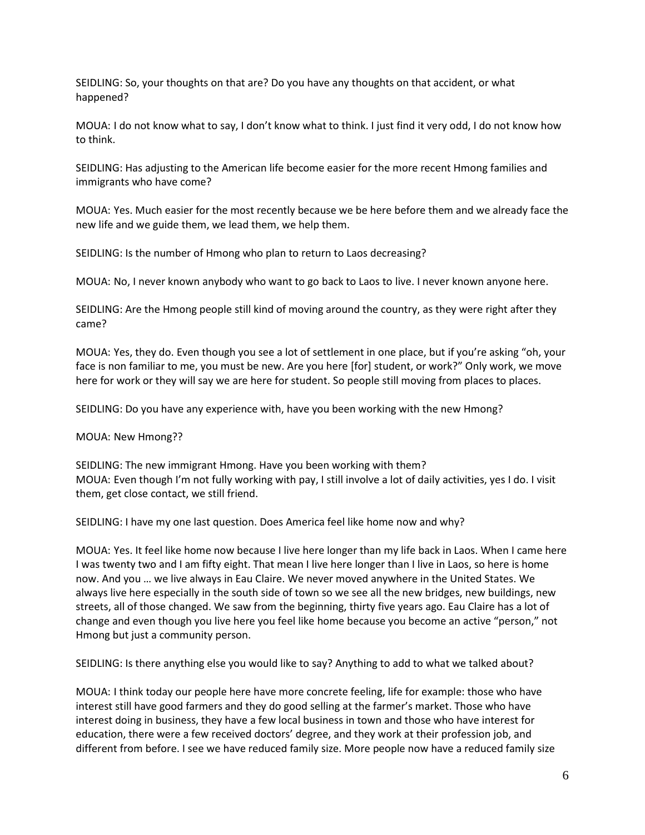SEIDLING: So, your thoughts on that are? Do you have any thoughts on that accident, or what happened?

MOUA: I do not know what to say, I don't know what to think. I just find it very odd, I do not know how to think.

SEIDLING: Has adjusting to the American life become easier for the more recent Hmong families and immigrants who have come?

MOUA: Yes. Much easier for the most recently because we be here before them and we already face the new life and we guide them, we lead them, we help them.

SEIDLING: Is the number of Hmong who plan to return to Laos decreasing?

MOUA: No, I never known anybody who want to go back to Laos to live. I never known anyone here.

SEIDLING: Are the Hmong people still kind of moving around the country, as they were right after they came?

MOUA: Yes, they do. Even though you see a lot of settlement in one place, but if you're asking "oh, your face is non familiar to me, you must be new. Are you here [for] student, or work?" Only work, we move here for work or they will say we are here for student. So people still moving from places to places.

SEIDLING: Do you have any experience with, have you been working with the new Hmong?

MOUA: New Hmong??

SEIDLING: The new immigrant Hmong. Have you been working with them? MOUA: Even though I'm not fully working with pay, I still involve a lot of daily activities, yes I do. I visit them, get close contact, we still friend.

SEIDLING: I have my one last question. Does America feel like home now and why?

MOUA: Yes. It feel like home now because I live here longer than my life back in Laos. When I came here I was twenty two and I am fifty eight. That mean I live here longer than I live in Laos, so here is home now. And you … we live always in Eau Claire. We never moved anywhere in the United States. We always live here especially in the south side of town so we see all the new bridges, new buildings, new streets, all of those changed. We saw from the beginning, thirty five years ago. Eau Claire has a lot of change and even though you live here you feel like home because you become an active "person," not Hmong but just a community person.

SEIDLING: Is there anything else you would like to say? Anything to add to what we talked about?

MOUA: I think today our people here have more concrete feeling, life for example: those who have interest still have good farmers and they do good selling at the farmer's market. Those who have interest doing in business, they have a few local business in town and those who have interest for education, there were a few received doctors' degree, and they work at their profession job, and different from before. I see we have reduced family size. More people now have a reduced family size